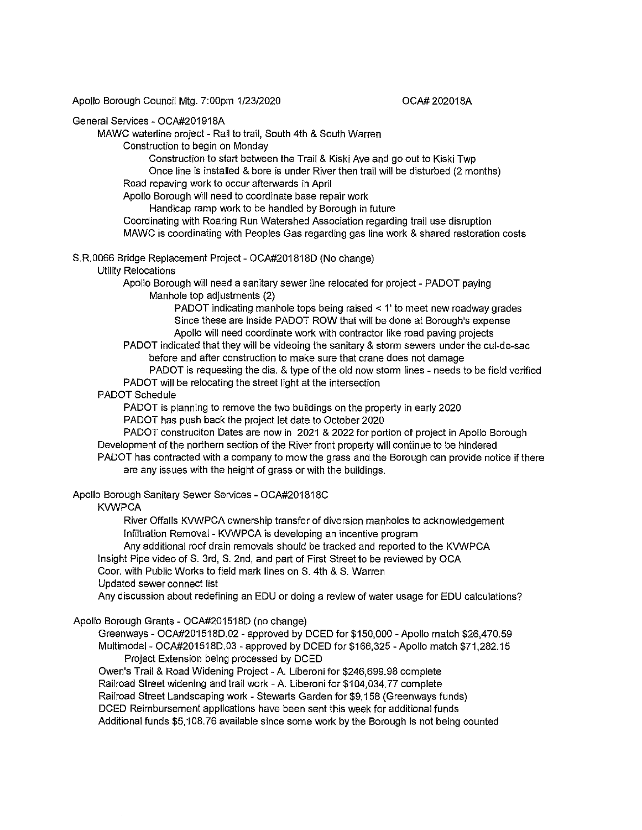Apollo Borough Council Mtg. 7:00pm 1/23/2020

#### OCA# 202018A

# General Services - OCA#201918A

MAWC waterline project - Rail to trail, South 4th & South Warren

Construction to begin on Monday

Construction to start between the Trail & Kiski Ave and go out to Kiski Twp Once line is installed & bore is under River then trail will be disturbed (2 months) Road repaving work to occur afterwards in April

Apollo Borough will need to coordinate base repair work Handicap ramp work to be handled by Borough in future

Coordinating with Roaring Run Watershed Association regarding trail use disruption MAWC is coordinating with Peoples Gas regarding gas line work & shared restoration costs

S.R.0066 Bridge Replacement Project- OCA#201818D (No change)

### Utility Relocations

Apollo Borough will need a sanitary sewer line relocated for project - PADOT paying Manhole top adjustments (2)

> PADOT indicating manhole tops being raised< 1' to meet new roadway grades Since these are inside PADOT ROW that will be done at Borough's expense Apollo will need coordinate work with contractor like road paving projects

PADOT indicated that they will be videoing the sanitary & storm sewers under the cul-de-sac before and after construction to make sure that crane does not damage

PADOT is requesting the dia. & type of the old now storm lines - needs to be field verified PADOT will be relocating the street light at the intersection

# PADOT Schedule

PADOT is planning to remove the two buildings on the property in early 2020 PADOT has push back the project let date to October 2020

PADOT construciton Dates are now in 2021 & 2022 for portion of project in Apollo Borough Development of the northern section of the River front property will continue to be hindered

PADOT has contracted with a company to mow the grass and the Borough can provide notice if there are any issues with the height of grass or with the buildings.

### Apollo Borough Sanitary Sewer Services - OCA#201818C

### **KVWPCA**

River Offalls KVWPCA ownership transfer of diversion manholes to acknowledgement Infiltration Removal - KVWPCA is developing an incentive program

Any additional roof drain removals should be tracked and reported to the KVWPCA

Insight Pipe video of S. 3rd, S. 2nd, and part of First Street to be reviewed by OCA

Coor. with Public Works to field mark lines on S. 4th & S. Warren

Updated sewer connect list

Any discussion about redefining an EDU or doing a review of water usage for EDU calculations?

### Apollo Borough Grants - OCA#201518D (no change)

Greenways - OCA#201518D.02 - approved by DCED for \$150,000 -Apollo match \$26,470.59 Multimodal - OCA#201518D.03 - approved by DCED for \$166,325 -Apollo match \$71,282.15 Project Extension being processed by DCED

Owen's Trail & Road Widening Project -A. Liberoni for \$246,699.98 complete Railroad Street widening and trail work - A. Liberoni for \$104,034.77 complete Railroad Street Landscaping work - Stewarts Garden for \$9, 158 (Greenways funds) DCED Reimbursement applications have been sent this week for additional funds Additional funds \$5,108.76 available since some work by the Borough is not being counted